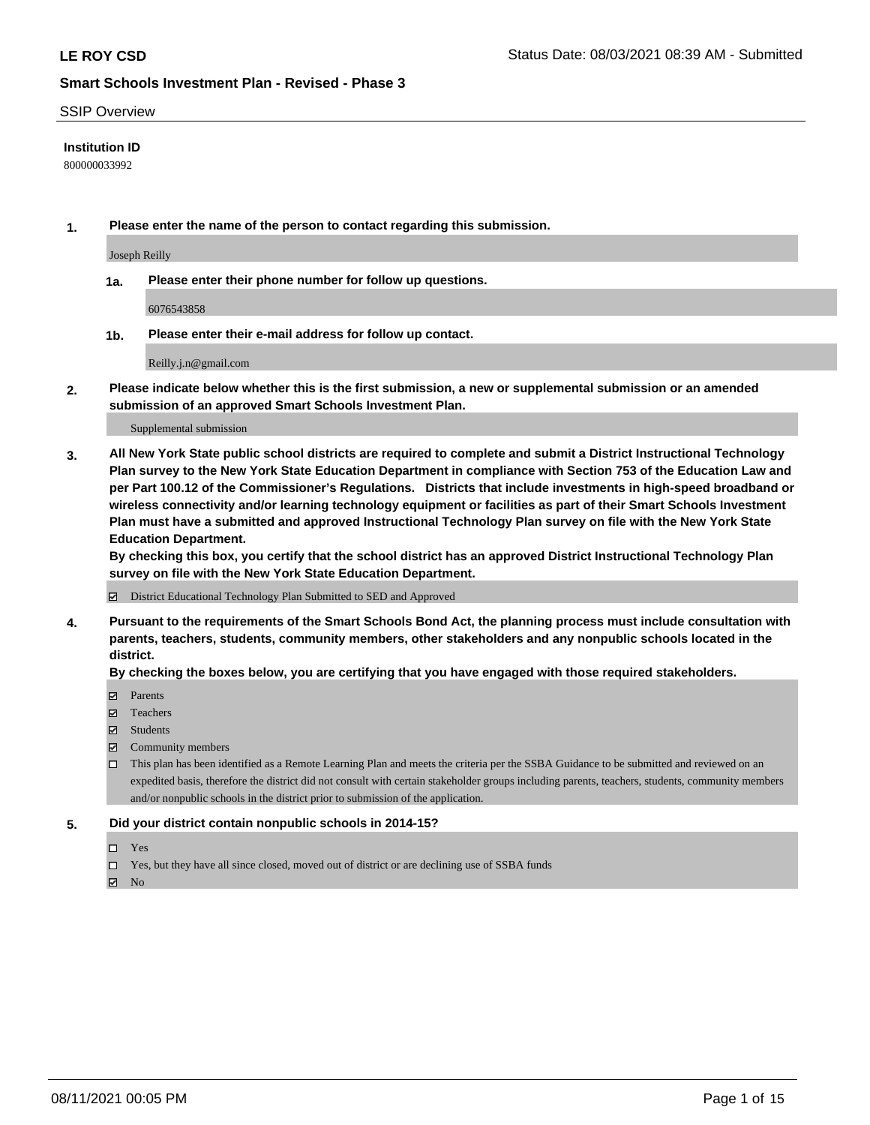#### SSIP Overview

#### **Institution ID**

800000033992

**1. Please enter the name of the person to contact regarding this submission.**

Joseph Reilly

**1a. Please enter their phone number for follow up questions.**

6076543858

**1b. Please enter their e-mail address for follow up contact.**

Reilly.j.n@gmail.com

**2. Please indicate below whether this is the first submission, a new or supplemental submission or an amended submission of an approved Smart Schools Investment Plan.**

#### Supplemental submission

**3. All New York State public school districts are required to complete and submit a District Instructional Technology Plan survey to the New York State Education Department in compliance with Section 753 of the Education Law and per Part 100.12 of the Commissioner's Regulations. Districts that include investments in high-speed broadband or wireless connectivity and/or learning technology equipment or facilities as part of their Smart Schools Investment Plan must have a submitted and approved Instructional Technology Plan survey on file with the New York State Education Department.** 

**By checking this box, you certify that the school district has an approved District Instructional Technology Plan survey on file with the New York State Education Department.**

District Educational Technology Plan Submitted to SED and Approved

**4. Pursuant to the requirements of the Smart Schools Bond Act, the planning process must include consultation with parents, teachers, students, community members, other stakeholders and any nonpublic schools located in the district.** 

#### **By checking the boxes below, you are certifying that you have engaged with those required stakeholders.**

- **Parents**
- Teachers
- Students
- $\boxtimes$  Community members
- This plan has been identified as a Remote Learning Plan and meets the criteria per the SSBA Guidance to be submitted and reviewed on an expedited basis, therefore the district did not consult with certain stakeholder groups including parents, teachers, students, community members and/or nonpublic schools in the district prior to submission of the application.
- **5. Did your district contain nonpublic schools in 2014-15?**
	- □ Yes
	- □ Yes, but they have all since closed, moved out of district or are declining use of SSBA funds

 $M$  No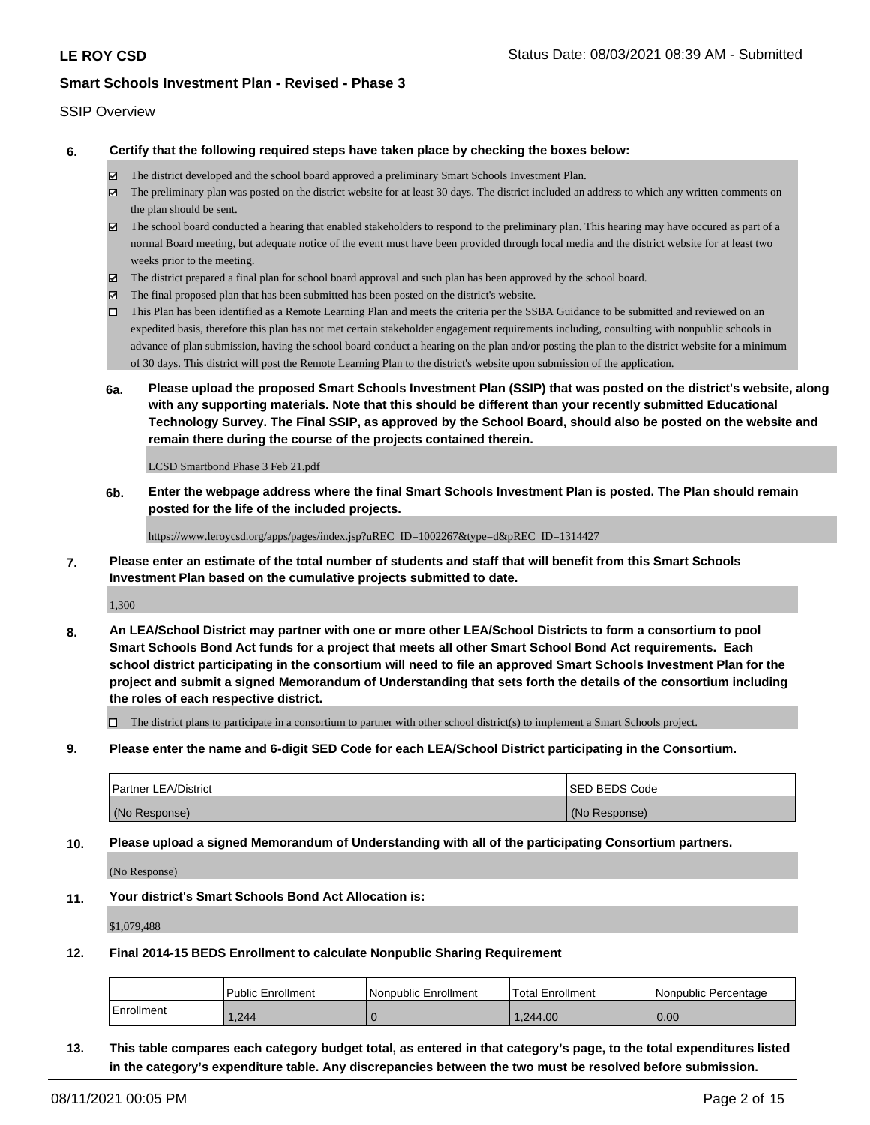#### SSIP Overview

**6. Certify that the following required steps have taken place by checking the boxes below:**

- The district developed and the school board approved a preliminary Smart Schools Investment Plan.
- The preliminary plan was posted on the district website for at least 30 days. The district included an address to which any written comments on the plan should be sent.
- The school board conducted a hearing that enabled stakeholders to respond to the preliminary plan. This hearing may have occured as part of a normal Board meeting, but adequate notice of the event must have been provided through local media and the district website for at least two weeks prior to the meeting.
- The district prepared a final plan for school board approval and such plan has been approved by the school board.
- $\boxtimes$  The final proposed plan that has been submitted has been posted on the district's website.
- This Plan has been identified as a Remote Learning Plan and meets the criteria per the SSBA Guidance to be submitted and reviewed on an expedited basis, therefore this plan has not met certain stakeholder engagement requirements including, consulting with nonpublic schools in advance of plan submission, having the school board conduct a hearing on the plan and/or posting the plan to the district website for a minimum of 30 days. This district will post the Remote Learning Plan to the district's website upon submission of the application.
- **6a. Please upload the proposed Smart Schools Investment Plan (SSIP) that was posted on the district's website, along with any supporting materials. Note that this should be different than your recently submitted Educational Technology Survey. The Final SSIP, as approved by the School Board, should also be posted on the website and remain there during the course of the projects contained therein.**

LCSD Smartbond Phase 3 Feb 21.pdf

**6b. Enter the webpage address where the final Smart Schools Investment Plan is posted. The Plan should remain posted for the life of the included projects.**

https://www.leroycsd.org/apps/pages/index.jsp?uREC\_ID=1002267&type=d&pREC\_ID=1314427

**7. Please enter an estimate of the total number of students and staff that will benefit from this Smart Schools Investment Plan based on the cumulative projects submitted to date.**

1,300

**8. An LEA/School District may partner with one or more other LEA/School Districts to form a consortium to pool Smart Schools Bond Act funds for a project that meets all other Smart School Bond Act requirements. Each school district participating in the consortium will need to file an approved Smart Schools Investment Plan for the project and submit a signed Memorandum of Understanding that sets forth the details of the consortium including the roles of each respective district.**

 $\Box$  The district plans to participate in a consortium to partner with other school district(s) to implement a Smart Schools project.

**9. Please enter the name and 6-digit SED Code for each LEA/School District participating in the Consortium.**

| <b>Partner LEA/District</b> | <b>ISED BEDS Code</b> |
|-----------------------------|-----------------------|
| (No Response)               | (No Response)         |

**10. Please upload a signed Memorandum of Understanding with all of the participating Consortium partners.**

(No Response)

**11. Your district's Smart Schools Bond Act Allocation is:**

\$1,079,488

**12. Final 2014-15 BEDS Enrollment to calculate Nonpublic Sharing Requirement**

|              | Public Enrollment | Nonpublic Enrollment | Total Enrollment | l Nonpublic Percentage |
|--------------|-------------------|----------------------|------------------|------------------------|
| l Enrollment | .244              |                      | 1.244.00         | 0.00                   |

**13. This table compares each category budget total, as entered in that category's page, to the total expenditures listed in the category's expenditure table. Any discrepancies between the two must be resolved before submission.**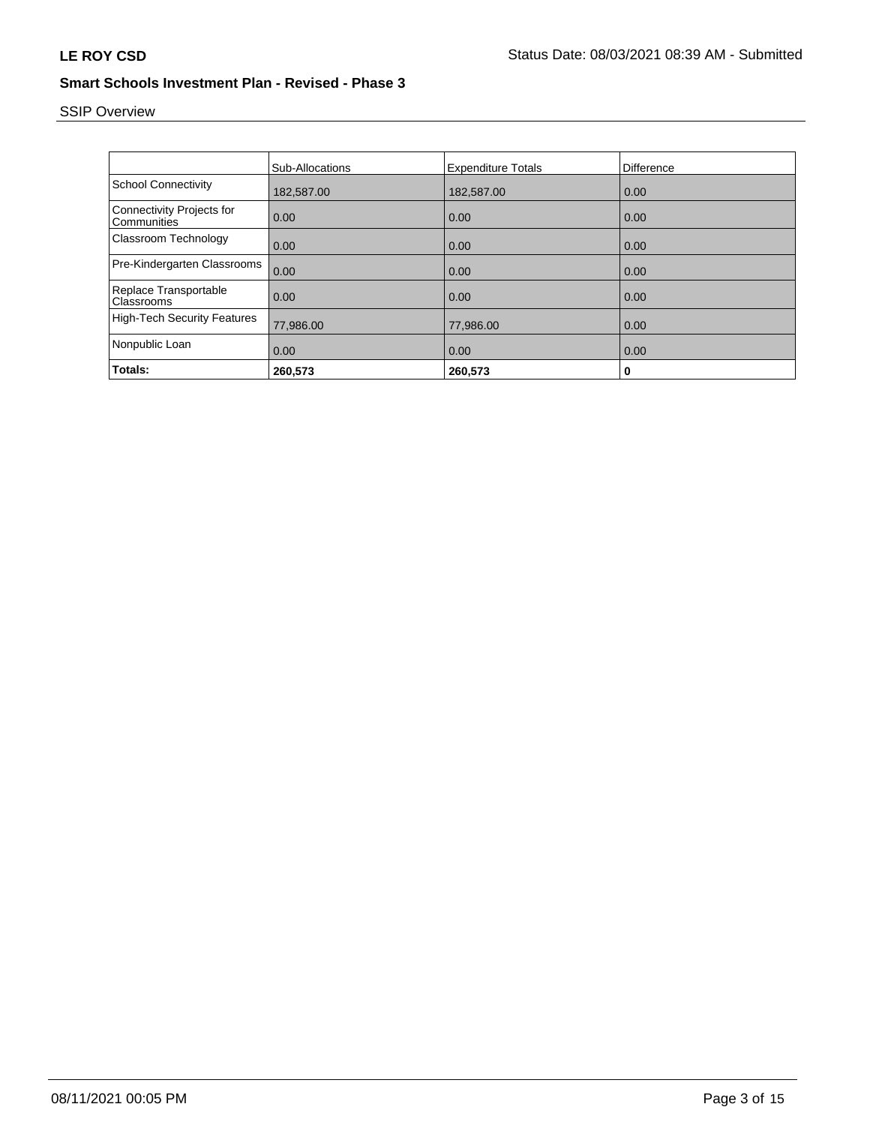# SSIP Overview

|                                                 | <b>Sub-Allocations</b> | <b>Expenditure Totals</b> | Difference |
|-------------------------------------------------|------------------------|---------------------------|------------|
| <b>School Connectivity</b>                      | 182,587.00             | 182,587.00                | 0.00       |
| <b>Connectivity Projects for</b><br>Communities | 0.00                   | 0.00                      | 0.00       |
| Classroom Technology                            | 0.00                   | 0.00                      | 0.00       |
| Pre-Kindergarten Classrooms                     | 0.00                   | 0.00                      | 0.00       |
| Replace Transportable<br>Classrooms             | 0.00                   | 0.00                      | 0.00       |
| <b>High-Tech Security Features</b>              | 77,986.00              | 77,986.00                 | 0.00       |
| Nonpublic Loan                                  | 0.00                   | 0.00                      | 0.00       |
| Totals:                                         | 260,573                | 260,573                   | 0          |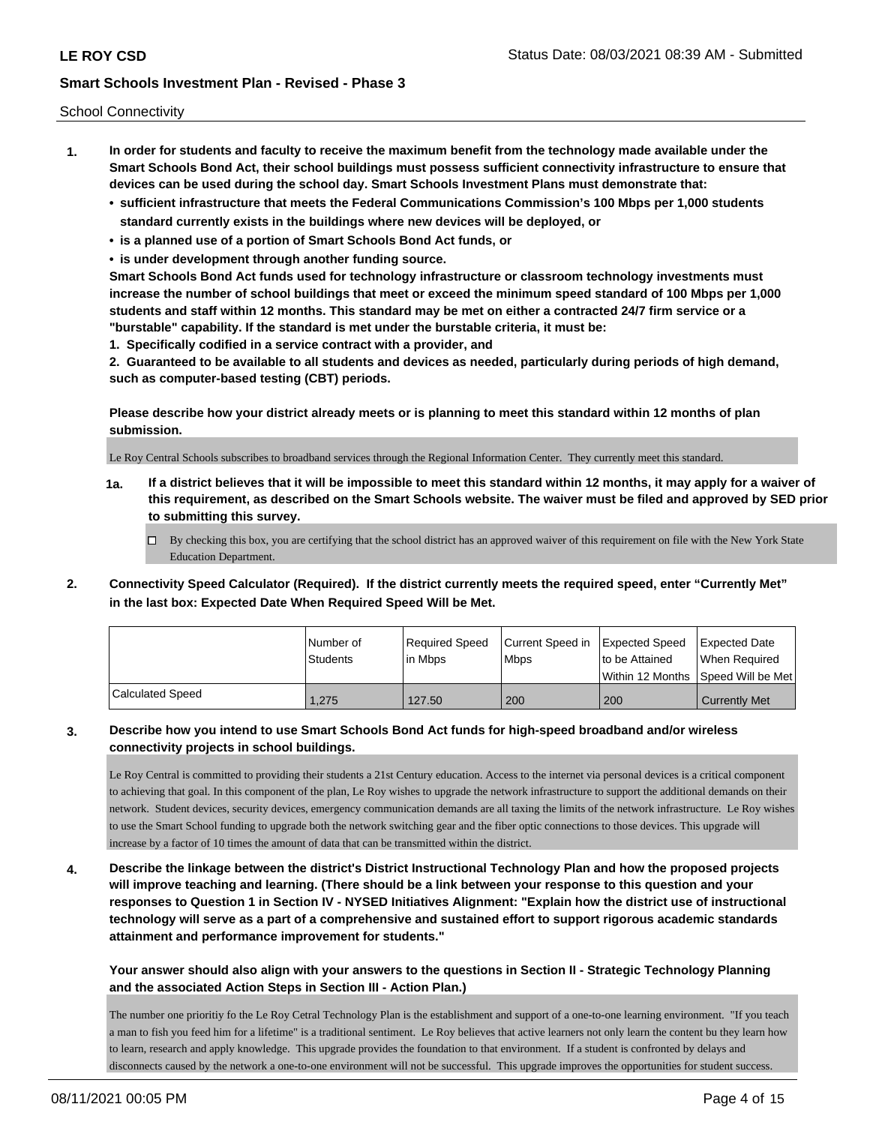School Connectivity

- **1. In order for students and faculty to receive the maximum benefit from the technology made available under the Smart Schools Bond Act, their school buildings must possess sufficient connectivity infrastructure to ensure that devices can be used during the school day. Smart Schools Investment Plans must demonstrate that:**
	- **• sufficient infrastructure that meets the Federal Communications Commission's 100 Mbps per 1,000 students standard currently exists in the buildings where new devices will be deployed, or**
	- **• is a planned use of a portion of Smart Schools Bond Act funds, or**
	- **• is under development through another funding source.**

**Smart Schools Bond Act funds used for technology infrastructure or classroom technology investments must increase the number of school buildings that meet or exceed the minimum speed standard of 100 Mbps per 1,000 students and staff within 12 months. This standard may be met on either a contracted 24/7 firm service or a "burstable" capability. If the standard is met under the burstable criteria, it must be:**

**1. Specifically codified in a service contract with a provider, and**

**2. Guaranteed to be available to all students and devices as needed, particularly during periods of high demand, such as computer-based testing (CBT) periods.**

**Please describe how your district already meets or is planning to meet this standard within 12 months of plan submission.**

Le Roy Central Schools subscribes to broadband services through the Regional Information Center. They currently meet this standard.

**1a. If a district believes that it will be impossible to meet this standard within 12 months, it may apply for a waiver of this requirement, as described on the Smart Schools website. The waiver must be filed and approved by SED prior to submitting this survey.**

 $\Box$  By checking this box, you are certifying that the school district has an approved waiver of this requirement on file with the New York State Education Department.

**2. Connectivity Speed Calculator (Required). If the district currently meets the required speed, enter "Currently Met" in the last box: Expected Date When Required Speed Will be Met.**

|                  | l Number of     | Required Speed | Current Speed in Expected Speed |                | <b>Expected Date</b>                |
|------------------|-----------------|----------------|---------------------------------|----------------|-------------------------------------|
|                  | <b>Students</b> | lin Mbps       | <b>Mbps</b>                     | to be Attained | When Reauired                       |
|                  |                 |                |                                 |                | Within 12 Months 1Speed Will be Met |
| Calculated Speed | .275            | 127.50         | 200                             | 200            | <b>Currently Met</b>                |

### **3. Describe how you intend to use Smart Schools Bond Act funds for high-speed broadband and/or wireless connectivity projects in school buildings.**

Le Roy Central is committed to providing their students a 21st Century education. Access to the internet via personal devices is a critical component to achieving that goal. In this component of the plan, Le Roy wishes to upgrade the network infrastructure to support the additional demands on their network. Student devices, security devices, emergency communication demands are all taxing the limits of the network infrastructure. Le Roy wishes to use the Smart School funding to upgrade both the network switching gear and the fiber optic connections to those devices. This upgrade will increase by a factor of 10 times the amount of data that can be transmitted within the district.

**4. Describe the linkage between the district's District Instructional Technology Plan and how the proposed projects will improve teaching and learning. (There should be a link between your response to this question and your responses to Question 1 in Section IV - NYSED Initiatives Alignment: "Explain how the district use of instructional technology will serve as a part of a comprehensive and sustained effort to support rigorous academic standards attainment and performance improvement for students."** 

**Your answer should also align with your answers to the questions in Section II - Strategic Technology Planning and the associated Action Steps in Section III - Action Plan.)**

The number one prioritiy fo the Le Roy Cetral Technology Plan is the establishment and support of a one-to-one learning environment. "If you teach a man to fish you feed him for a lifetime" is a traditional sentiment. Le Roy believes that active learners not only learn the content bu they learn how to learn, research and apply knowledge. This upgrade provides the foundation to that environment. If a student is confronted by delays and disconnects caused by the network a one-to-one environment will not be successful. This upgrade improves the opportunities for student success.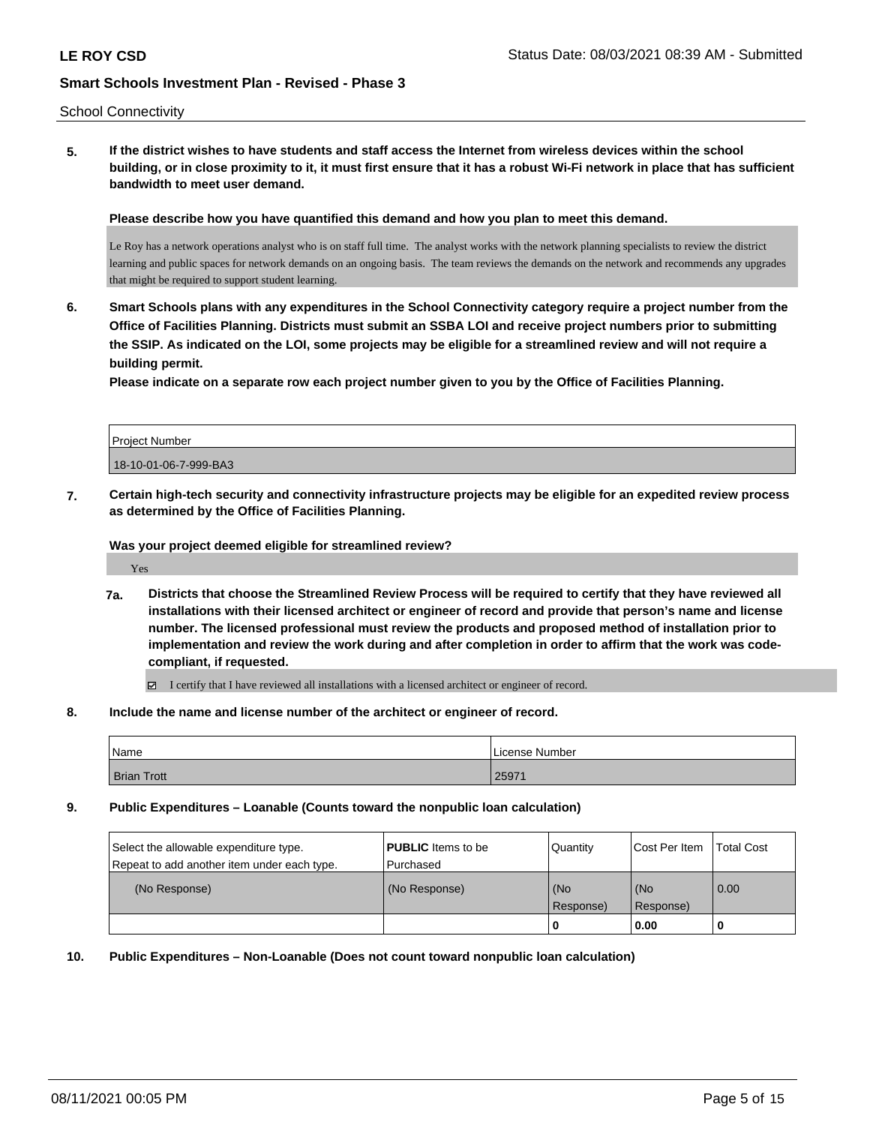#### School Connectivity

**5. If the district wishes to have students and staff access the Internet from wireless devices within the school building, or in close proximity to it, it must first ensure that it has a robust Wi-Fi network in place that has sufficient bandwidth to meet user demand.**

**Please describe how you have quantified this demand and how you plan to meet this demand.**

Le Roy has a network operations analyst who is on staff full time. The analyst works with the network planning specialists to review the district learning and public spaces for network demands on an ongoing basis. The team reviews the demands on the network and recommends any upgrades that might be required to support student learning.

**6. Smart Schools plans with any expenditures in the School Connectivity category require a project number from the Office of Facilities Planning. Districts must submit an SSBA LOI and receive project numbers prior to submitting the SSIP. As indicated on the LOI, some projects may be eligible for a streamlined review and will not require a building permit.**

**Please indicate on a separate row each project number given to you by the Office of Facilities Planning.**

| Project Number        |  |
|-----------------------|--|
| 18-10-01-06-7-999-BA3 |  |
|                       |  |

**7. Certain high-tech security and connectivity infrastructure projects may be eligible for an expedited review process as determined by the Office of Facilities Planning.**

**Was your project deemed eligible for streamlined review?**

Yes

**7a. Districts that choose the Streamlined Review Process will be required to certify that they have reviewed all installations with their licensed architect or engineer of record and provide that person's name and license number. The licensed professional must review the products and proposed method of installation prior to implementation and review the work during and after completion in order to affirm that the work was codecompliant, if requested.**

I certify that I have reviewed all installations with a licensed architect or engineer of record.

**8. Include the name and license number of the architect or engineer of record.**

| Name               | License Number |
|--------------------|----------------|
| <b>Brian Trott</b> | 2597           |

**9. Public Expenditures – Loanable (Counts toward the nonpublic loan calculation)**

| Select the allowable expenditure type.<br>Repeat to add another item under each type. | <b>PUBLIC</b> Items to be<br>l Purchased | Quantity           | Cost Per Item    | <b>Total Cost</b> |
|---------------------------------------------------------------------------------------|------------------------------------------|--------------------|------------------|-------------------|
| (No Response)                                                                         | (No Response)                            | (No<br>l Response) | (No<br>Response) | 0.00              |
|                                                                                       |                                          | U                  | 0.00             |                   |

**10. Public Expenditures – Non-Loanable (Does not count toward nonpublic loan calculation)**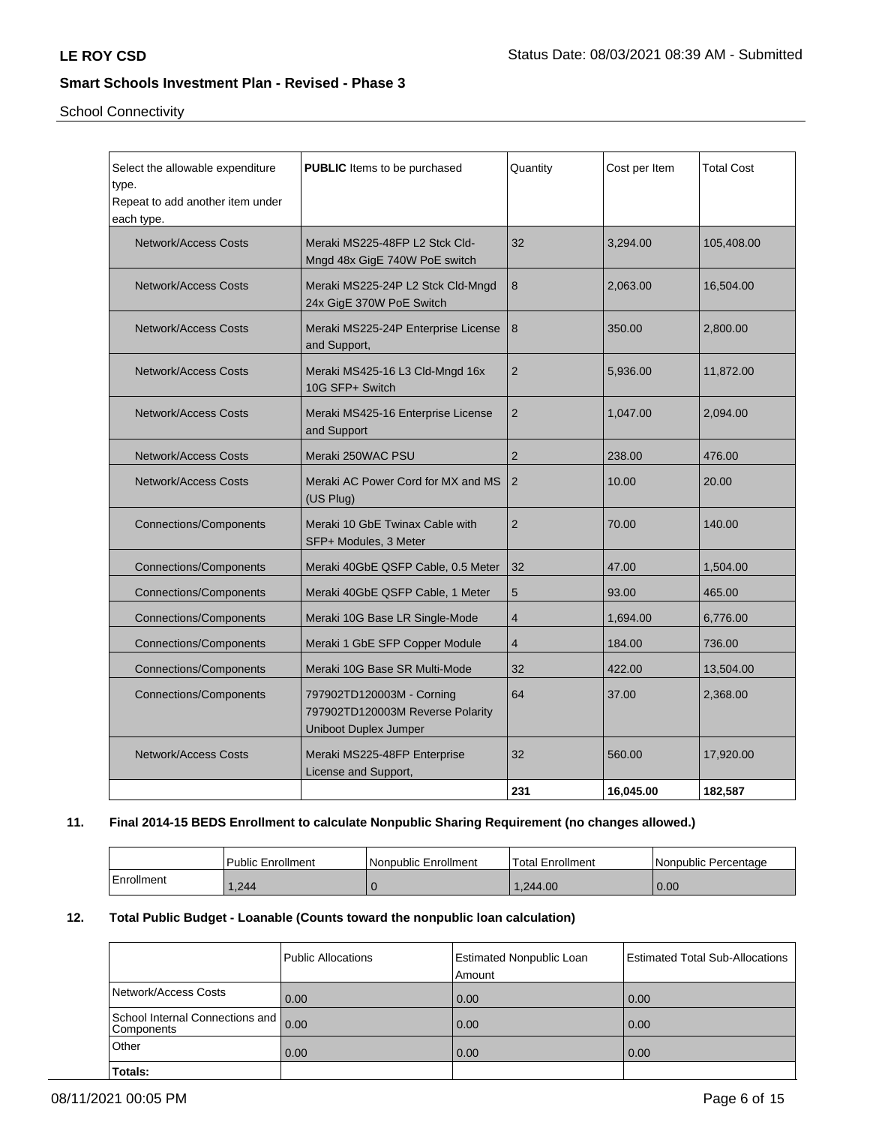School Connectivity

| Select the allowable expenditure<br>type.<br>Repeat to add another item under<br>each type. | PUBLIC Items to be purchased                                                                  | Quantity       | Cost per Item | <b>Total Cost</b> |
|---------------------------------------------------------------------------------------------|-----------------------------------------------------------------------------------------------|----------------|---------------|-------------------|
| <b>Network/Access Costs</b>                                                                 | Meraki MS225-48FP L2 Stck Cld-<br>Mngd 48x GigE 740W PoE switch                               | 32             | 3,294.00      | 105,408.00        |
| <b>Network/Access Costs</b>                                                                 | Meraki MS225-24P L2 Stck Cld-Mngd<br>24x GigE 370W PoE Switch                                 | 8              | 2,063.00      | 16,504.00         |
| <b>Network/Access Costs</b>                                                                 | Meraki MS225-24P Enterprise License<br>and Support,                                           | 8              | 350.00        | 2,800.00          |
| <b>Network/Access Costs</b>                                                                 | Meraki MS425-16 L3 Cld-Mngd 16x<br>10G SFP+ Switch                                            | $\overline{2}$ | 5,936.00      | 11,872.00         |
| <b>Network/Access Costs</b>                                                                 | Meraki MS425-16 Enterprise License<br>and Support                                             | 2              | 1,047.00      | 2,094.00          |
| Network/Access Costs                                                                        | Meraki 250WAC PSU                                                                             | $\overline{2}$ | 238.00        | 476.00            |
| <b>Network/Access Costs</b>                                                                 | Meraki AC Power Cord for MX and MS<br>(US Plug)                                               | $\overline{2}$ | 10.00         | 20.00             |
| <b>Connections/Components</b>                                                               | Meraki 10 GbE Twinax Cable with<br>SFP+ Modules, 3 Meter                                      | $\overline{2}$ | 70.00         | 140.00            |
| <b>Connections/Components</b>                                                               | Meraki 40GbE QSFP Cable, 0.5 Meter                                                            | 32             | 47.00         | 1,504.00          |
| <b>Connections/Components</b>                                                               | Meraki 40GbE QSFP Cable, 1 Meter                                                              | 5              | 93.00         | 465.00            |
| <b>Connections/Components</b>                                                               | Meraki 10G Base LR Single-Mode                                                                | $\overline{4}$ | 1.694.00      | 6,776.00          |
| <b>Connections/Components</b>                                                               | Meraki 1 GbE SFP Copper Module                                                                | $\overline{4}$ | 184.00        | 736.00            |
| <b>Connections/Components</b>                                                               | Meraki 10G Base SR Multi-Mode                                                                 | 32             | 422.00        | 13,504.00         |
| <b>Connections/Components</b>                                                               | 797902TD120003M - Corning<br>797902TD120003M Reverse Polarity<br><b>Uniboot Duplex Jumper</b> | 64             | 37.00         | 2,368.00          |
| <b>Network/Access Costs</b>                                                                 | Meraki MS225-48FP Enterprise<br>License and Support,                                          | 32             | 560.00        | 17,920.00         |
|                                                                                             |                                                                                               | 231            | 16,045.00     | 182,587           |

## **11. Final 2014-15 BEDS Enrollment to calculate Nonpublic Sharing Requirement (no changes allowed.)**

|            | Public Enrollment | l Nonpublic Enrollment | Total Enrollment | <b>Nonpublic Percentage</b> |
|------------|-------------------|------------------------|------------------|-----------------------------|
| Enrollment | .244              |                        | 1.244.00         | 0.00                        |

# **12. Total Public Budget - Loanable (Counts toward the nonpublic loan calculation)**

|                                               | Public Allocations | <b>Estimated Nonpublic Loan</b><br>Amount | Estimated Total Sub-Allocations |
|-----------------------------------------------|--------------------|-------------------------------------------|---------------------------------|
| Network/Access Costs                          | 0.00               | 0.00                                      | 0.00                            |
| School Internal Connections and<br>Components | 0.00               | 0.00                                      | 0.00                            |
| Other                                         | 0.00               | 0.00                                      | 0.00                            |
| Totals:                                       |                    |                                           |                                 |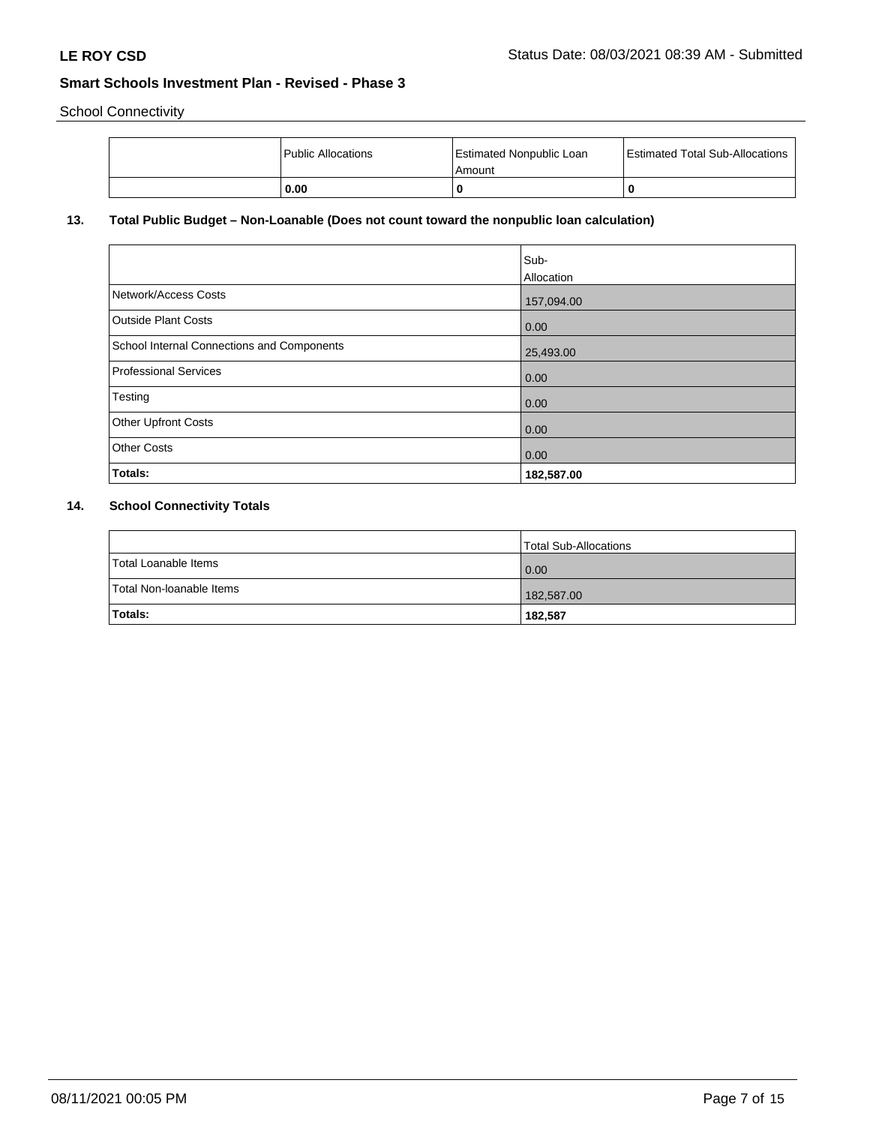School Connectivity

|  | Public Allocations | <b>Estimated Nonpublic Loan</b><br>l Amount | <b>Estimated Total Sub-Allocations</b> |
|--|--------------------|---------------------------------------------|----------------------------------------|
|  | 0.00               | 0                                           |                                        |

# **13. Total Public Budget – Non-Loanable (Does not count toward the nonpublic loan calculation)**

| Network/Access Costs                       | 157,094.00 |
|--------------------------------------------|------------|
| Outside Plant Costs                        | 0.00       |
| School Internal Connections and Components | 25,493.00  |
| Professional Services                      | 0.00       |
| Testing                                    | 0.00       |
| Other Upfront Costs                        | 0.00       |
| <b>Other Costs</b>                         | 0.00       |
| Totals:                                    | 182,587.00 |

### **14. School Connectivity Totals**

|                          | Total Sub-Allocations |
|--------------------------|-----------------------|
| Total Loanable Items     | $\overline{0.00}$     |
| Total Non-Ioanable Items | 182,587.00            |
| Totals:                  | 182,587               |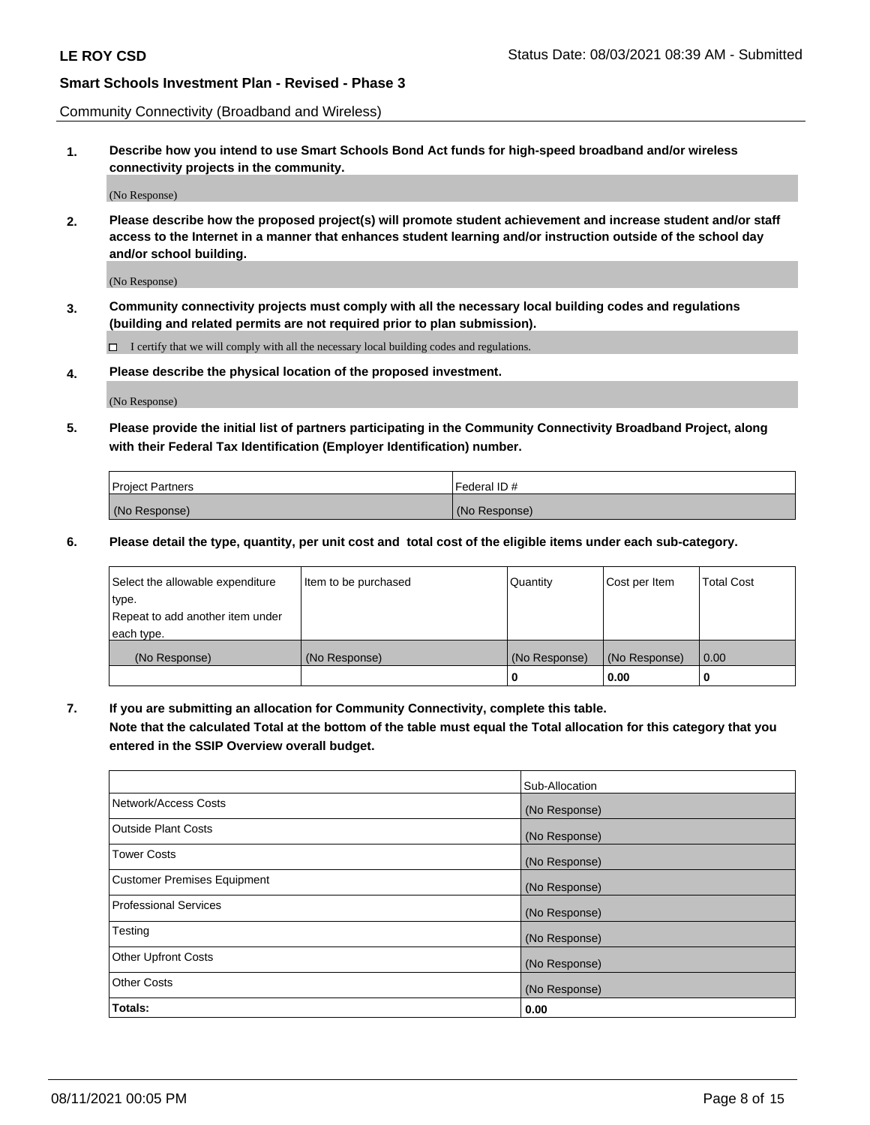Community Connectivity (Broadband and Wireless)

**1. Describe how you intend to use Smart Schools Bond Act funds for high-speed broadband and/or wireless connectivity projects in the community.**

(No Response)

**2. Please describe how the proposed project(s) will promote student achievement and increase student and/or staff access to the Internet in a manner that enhances student learning and/or instruction outside of the school day and/or school building.**

(No Response)

**3. Community connectivity projects must comply with all the necessary local building codes and regulations (building and related permits are not required prior to plan submission).**

 $\Box$  I certify that we will comply with all the necessary local building codes and regulations.

**4. Please describe the physical location of the proposed investment.**

(No Response)

**5. Please provide the initial list of partners participating in the Community Connectivity Broadband Project, along with their Federal Tax Identification (Employer Identification) number.**

| <b>Project Partners</b> | l Federal ID # |
|-------------------------|----------------|
| (No Response)           | (No Response)  |

**6. Please detail the type, quantity, per unit cost and total cost of the eligible items under each sub-category.**

| Select the allowable expenditure | Item to be purchased | Quantity      | Cost per Item | <b>Total Cost</b> |
|----------------------------------|----------------------|---------------|---------------|-------------------|
| type.                            |                      |               |               |                   |
| Repeat to add another item under |                      |               |               |                   |
| each type.                       |                      |               |               |                   |
| (No Response)                    | (No Response)        | (No Response) | (No Response) | 0.00              |
|                                  |                      | o             | 0.00          |                   |

**7. If you are submitting an allocation for Community Connectivity, complete this table.**

**Note that the calculated Total at the bottom of the table must equal the Total allocation for this category that you entered in the SSIP Overview overall budget.**

|                                    | Sub-Allocation |
|------------------------------------|----------------|
| Network/Access Costs               | (No Response)  |
| Outside Plant Costs                | (No Response)  |
| <b>Tower Costs</b>                 | (No Response)  |
| <b>Customer Premises Equipment</b> | (No Response)  |
| <b>Professional Services</b>       | (No Response)  |
| Testing                            | (No Response)  |
| <b>Other Upfront Costs</b>         | (No Response)  |
| <b>Other Costs</b>                 | (No Response)  |
| Totals:                            | 0.00           |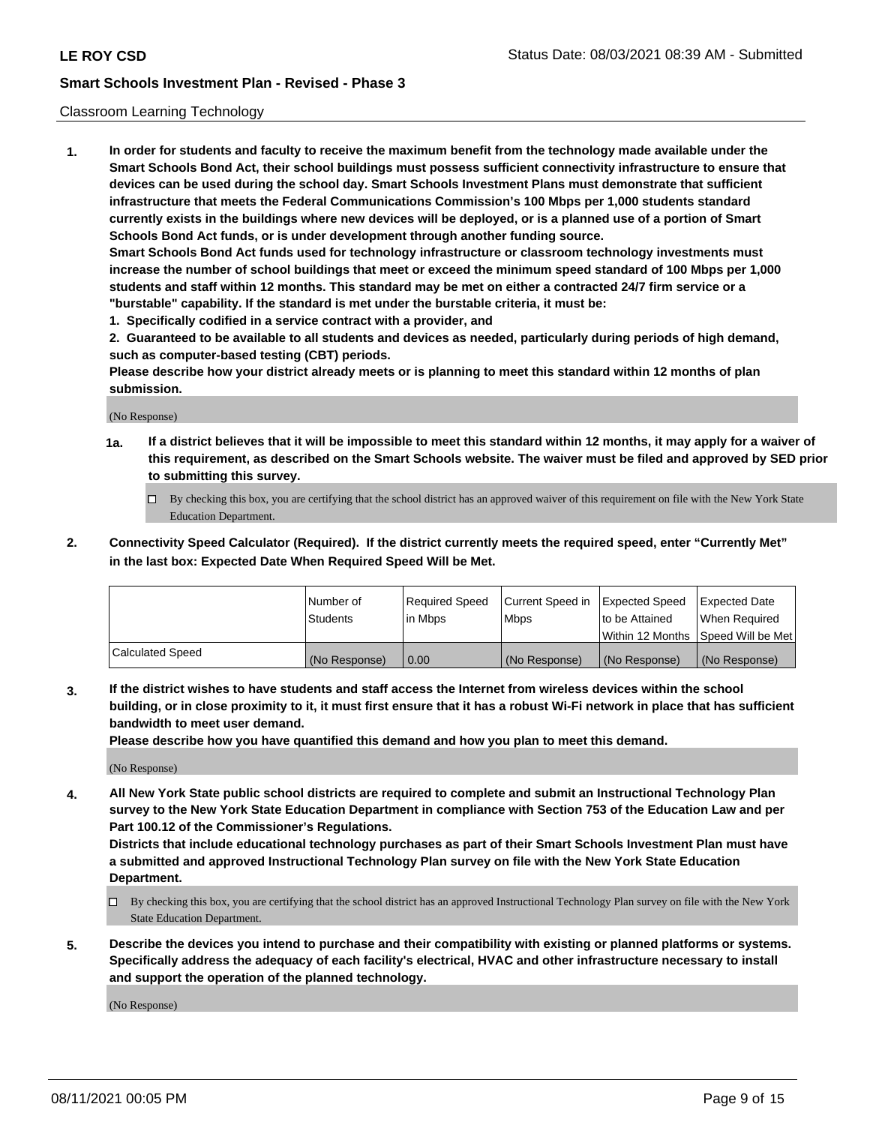#### Classroom Learning Technology

**1. In order for students and faculty to receive the maximum benefit from the technology made available under the Smart Schools Bond Act, their school buildings must possess sufficient connectivity infrastructure to ensure that devices can be used during the school day. Smart Schools Investment Plans must demonstrate that sufficient infrastructure that meets the Federal Communications Commission's 100 Mbps per 1,000 students standard currently exists in the buildings where new devices will be deployed, or is a planned use of a portion of Smart Schools Bond Act funds, or is under development through another funding source. Smart Schools Bond Act funds used for technology infrastructure or classroom technology investments must increase the number of school buildings that meet or exceed the minimum speed standard of 100 Mbps per 1,000 students and staff within 12 months. This standard may be met on either a contracted 24/7 firm service or a**

- **"burstable" capability. If the standard is met under the burstable criteria, it must be:**
- **1. Specifically codified in a service contract with a provider, and**

**2. Guaranteed to be available to all students and devices as needed, particularly during periods of high demand, such as computer-based testing (CBT) periods.**

**Please describe how your district already meets or is planning to meet this standard within 12 months of plan submission.**

(No Response)

- **1a. If a district believes that it will be impossible to meet this standard within 12 months, it may apply for a waiver of this requirement, as described on the Smart Schools website. The waiver must be filed and approved by SED prior to submitting this survey.**
	- By checking this box, you are certifying that the school district has an approved waiver of this requirement on file with the New York State Education Department.
- **2. Connectivity Speed Calculator (Required). If the district currently meets the required speed, enter "Currently Met" in the last box: Expected Date When Required Speed Will be Met.**

|                  | l Number of     | Required Speed | Current Speed in | <b>Expected Speed</b> | <b>Expected Date</b>                |
|------------------|-----------------|----------------|------------------|-----------------------|-------------------------------------|
|                  | <b>Students</b> | l in Mbps      | l Mbps           | to be Attained        | When Required                       |
|                  |                 |                |                  |                       | Within 12 Months  Speed Will be Met |
| Calculated Speed | (No Response)   | 0.00           | (No Response)    | l (No Response)       | (No Response)                       |

**3. If the district wishes to have students and staff access the Internet from wireless devices within the school building, or in close proximity to it, it must first ensure that it has a robust Wi-Fi network in place that has sufficient bandwidth to meet user demand.**

**Please describe how you have quantified this demand and how you plan to meet this demand.**

(No Response)

**4. All New York State public school districts are required to complete and submit an Instructional Technology Plan survey to the New York State Education Department in compliance with Section 753 of the Education Law and per Part 100.12 of the Commissioner's Regulations.**

**Districts that include educational technology purchases as part of their Smart Schools Investment Plan must have a submitted and approved Instructional Technology Plan survey on file with the New York State Education Department.**

- By checking this box, you are certifying that the school district has an approved Instructional Technology Plan survey on file with the New York State Education Department.
- **5. Describe the devices you intend to purchase and their compatibility with existing or planned platforms or systems. Specifically address the adequacy of each facility's electrical, HVAC and other infrastructure necessary to install and support the operation of the planned technology.**

(No Response)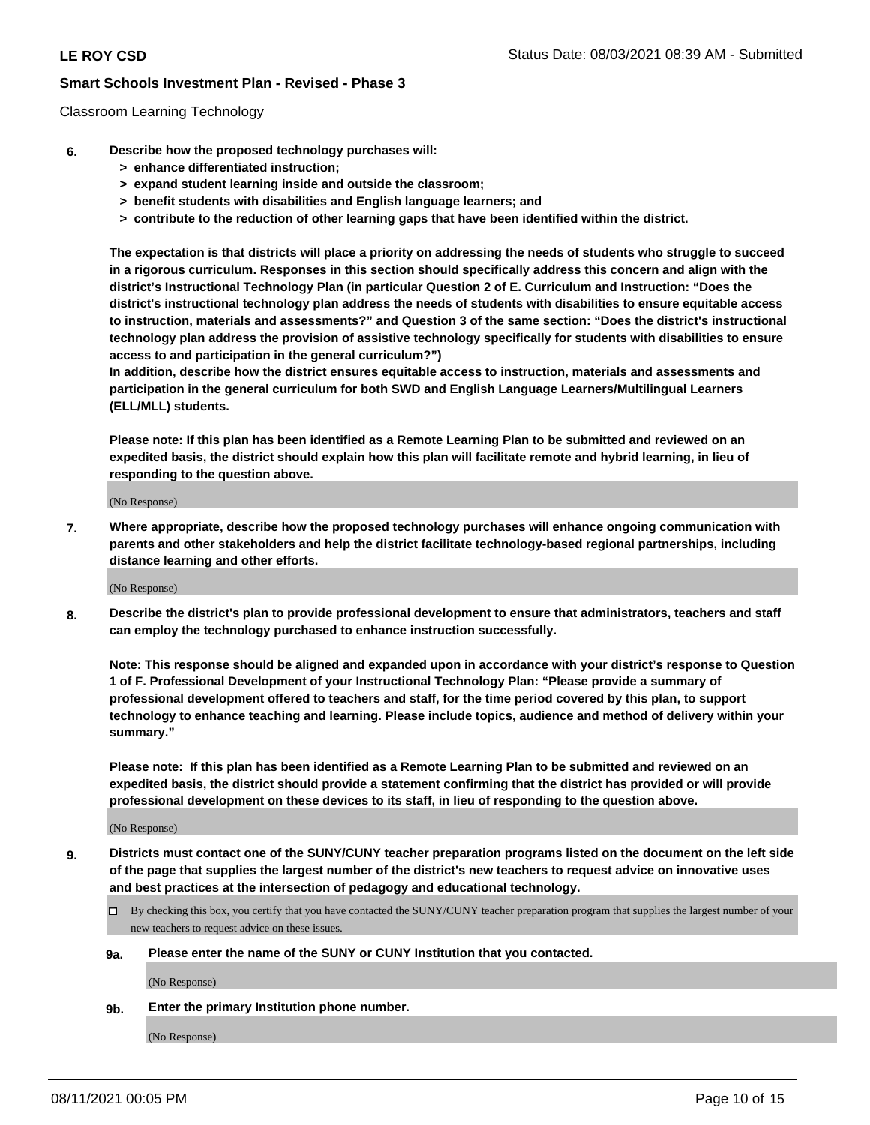#### Classroom Learning Technology

- **6. Describe how the proposed technology purchases will:**
	- **> enhance differentiated instruction;**
	- **> expand student learning inside and outside the classroom;**
	- **> benefit students with disabilities and English language learners; and**
	- **> contribute to the reduction of other learning gaps that have been identified within the district.**

**The expectation is that districts will place a priority on addressing the needs of students who struggle to succeed in a rigorous curriculum. Responses in this section should specifically address this concern and align with the district's Instructional Technology Plan (in particular Question 2 of E. Curriculum and Instruction: "Does the district's instructional technology plan address the needs of students with disabilities to ensure equitable access to instruction, materials and assessments?" and Question 3 of the same section: "Does the district's instructional technology plan address the provision of assistive technology specifically for students with disabilities to ensure access to and participation in the general curriculum?")**

**In addition, describe how the district ensures equitable access to instruction, materials and assessments and participation in the general curriculum for both SWD and English Language Learners/Multilingual Learners (ELL/MLL) students.**

**Please note: If this plan has been identified as a Remote Learning Plan to be submitted and reviewed on an expedited basis, the district should explain how this plan will facilitate remote and hybrid learning, in lieu of responding to the question above.**

(No Response)

**7. Where appropriate, describe how the proposed technology purchases will enhance ongoing communication with parents and other stakeholders and help the district facilitate technology-based regional partnerships, including distance learning and other efforts.**

(No Response)

**8. Describe the district's plan to provide professional development to ensure that administrators, teachers and staff can employ the technology purchased to enhance instruction successfully.**

**Note: This response should be aligned and expanded upon in accordance with your district's response to Question 1 of F. Professional Development of your Instructional Technology Plan: "Please provide a summary of professional development offered to teachers and staff, for the time period covered by this plan, to support technology to enhance teaching and learning. Please include topics, audience and method of delivery within your summary."**

**Please note: If this plan has been identified as a Remote Learning Plan to be submitted and reviewed on an expedited basis, the district should provide a statement confirming that the district has provided or will provide professional development on these devices to its staff, in lieu of responding to the question above.**

(No Response)

- **9. Districts must contact one of the SUNY/CUNY teacher preparation programs listed on the document on the left side of the page that supplies the largest number of the district's new teachers to request advice on innovative uses and best practices at the intersection of pedagogy and educational technology.**
	- $\Box$  By checking this box, you certify that you have contacted the SUNY/CUNY teacher preparation program that supplies the largest number of your new teachers to request advice on these issues.

#### **9a. Please enter the name of the SUNY or CUNY Institution that you contacted.**

(No Response)

**9b. Enter the primary Institution phone number.**

(No Response)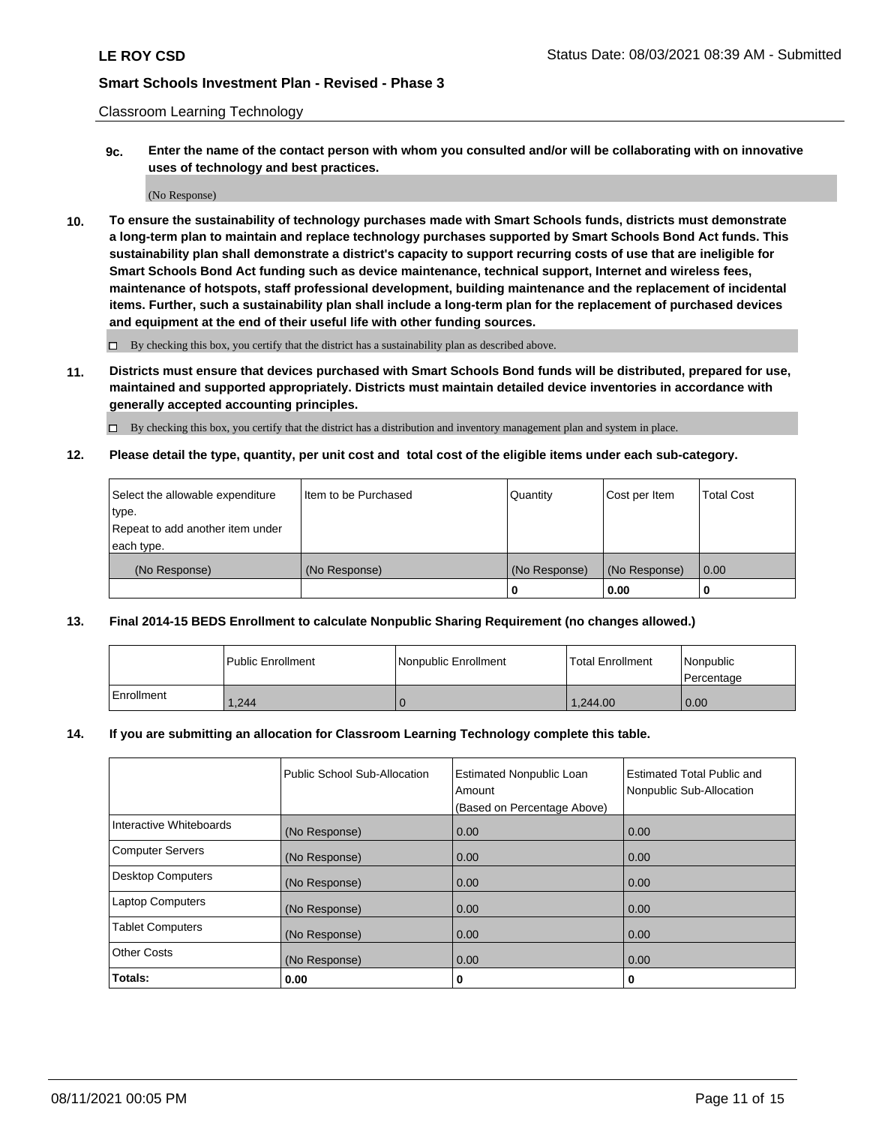Classroom Learning Technology

**9c. Enter the name of the contact person with whom you consulted and/or will be collaborating with on innovative uses of technology and best practices.**

(No Response)

**10. To ensure the sustainability of technology purchases made with Smart Schools funds, districts must demonstrate a long-term plan to maintain and replace technology purchases supported by Smart Schools Bond Act funds. This sustainability plan shall demonstrate a district's capacity to support recurring costs of use that are ineligible for Smart Schools Bond Act funding such as device maintenance, technical support, Internet and wireless fees, maintenance of hotspots, staff professional development, building maintenance and the replacement of incidental items. Further, such a sustainability plan shall include a long-term plan for the replacement of purchased devices and equipment at the end of their useful life with other funding sources.**

 $\square$  By checking this box, you certify that the district has a sustainability plan as described above.

**11. Districts must ensure that devices purchased with Smart Schools Bond funds will be distributed, prepared for use, maintained and supported appropriately. Districts must maintain detailed device inventories in accordance with generally accepted accounting principles.**

By checking this box, you certify that the district has a distribution and inventory management plan and system in place.

**12. Please detail the type, quantity, per unit cost and total cost of the eligible items under each sub-category.**

| Select the allowable expenditure | Item to be Purchased | Quantity      | Cost per Item | <b>Total Cost</b> |
|----------------------------------|----------------------|---------------|---------------|-------------------|
| type.                            |                      |               |               |                   |
| Repeat to add another item under |                      |               |               |                   |
| each type.                       |                      |               |               |                   |
| (No Response)                    | (No Response)        | (No Response) | (No Response) | $\overline{0.00}$ |
|                                  |                      |               | 0.00          |                   |

#### **13. Final 2014-15 BEDS Enrollment to calculate Nonpublic Sharing Requirement (no changes allowed.)**

|            | l Public Enrollment | Nonpublic Enrollment | <b>Total Enrollment</b> | <i>Nonpublic</i><br>Percentage |
|------------|---------------------|----------------------|-------------------------|--------------------------------|
| Enrollment | 1.244               |                      | 1.244.00                | 0.00                           |

#### **14. If you are submitting an allocation for Classroom Learning Technology complete this table.**

|                          | Public School Sub-Allocation | <b>Estimated Nonpublic Loan</b><br>Amount | <b>Estimated Total Public and</b><br>Nonpublic Sub-Allocation |
|--------------------------|------------------------------|-------------------------------------------|---------------------------------------------------------------|
|                          |                              | (Based on Percentage Above)               |                                                               |
| Interactive Whiteboards  | (No Response)                | 0.00                                      | 0.00                                                          |
| <b>Computer Servers</b>  | (No Response)                | 0.00                                      | 0.00                                                          |
| <b>Desktop Computers</b> | (No Response)                | 0.00                                      | 0.00                                                          |
| <b>Laptop Computers</b>  | (No Response)                | 0.00                                      | 0.00                                                          |
| <b>Tablet Computers</b>  | (No Response)                | 0.00                                      | 0.00                                                          |
| <b>Other Costs</b>       | (No Response)                | 0.00                                      | 0.00                                                          |
| Totals:                  | 0.00                         | 0                                         | 0                                                             |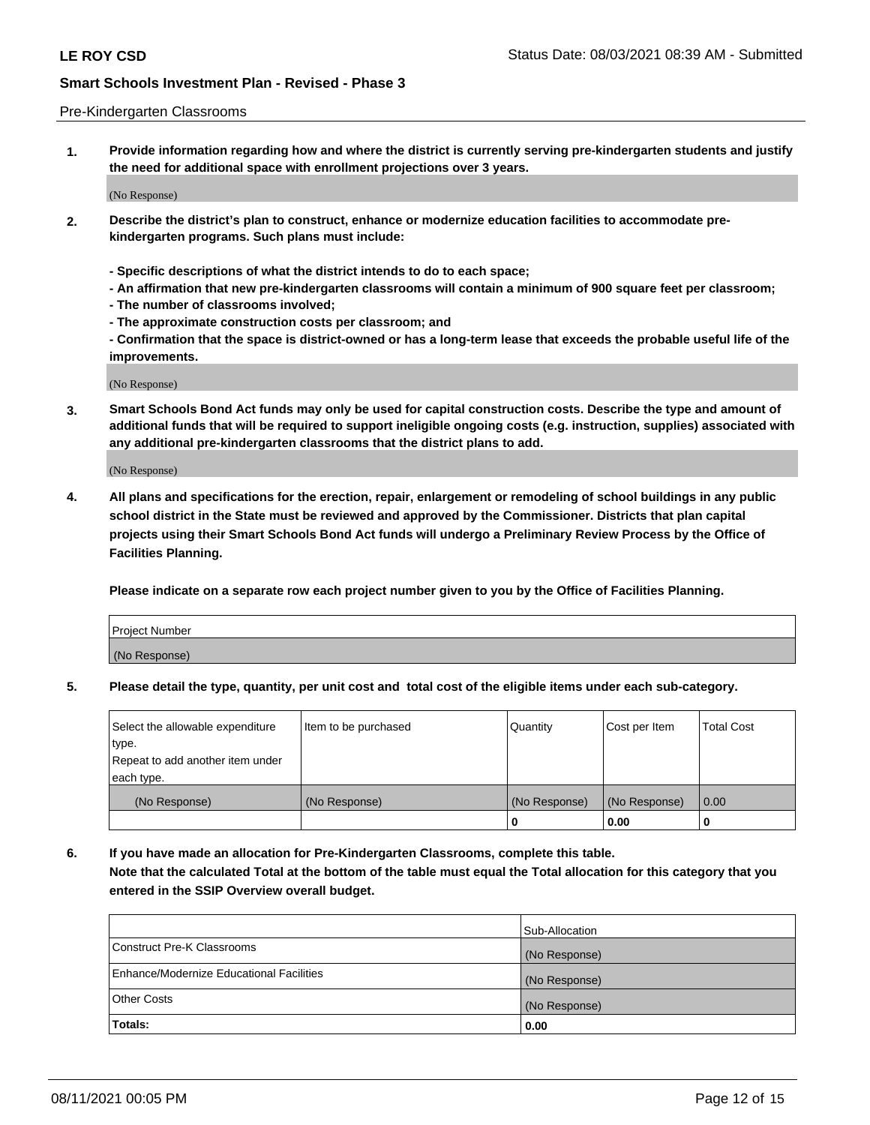#### Pre-Kindergarten Classrooms

**1. Provide information regarding how and where the district is currently serving pre-kindergarten students and justify the need for additional space with enrollment projections over 3 years.**

(No Response)

- **2. Describe the district's plan to construct, enhance or modernize education facilities to accommodate prekindergarten programs. Such plans must include:**
	- **Specific descriptions of what the district intends to do to each space;**
	- **An affirmation that new pre-kindergarten classrooms will contain a minimum of 900 square feet per classroom;**
	- **The number of classrooms involved;**
	- **The approximate construction costs per classroom; and**
	- **Confirmation that the space is district-owned or has a long-term lease that exceeds the probable useful life of the improvements.**

(No Response)

**3. Smart Schools Bond Act funds may only be used for capital construction costs. Describe the type and amount of additional funds that will be required to support ineligible ongoing costs (e.g. instruction, supplies) associated with any additional pre-kindergarten classrooms that the district plans to add.**

(No Response)

**4. All plans and specifications for the erection, repair, enlargement or remodeling of school buildings in any public school district in the State must be reviewed and approved by the Commissioner. Districts that plan capital projects using their Smart Schools Bond Act funds will undergo a Preliminary Review Process by the Office of Facilities Planning.**

**Please indicate on a separate row each project number given to you by the Office of Facilities Planning.**

| Project Number |  |
|----------------|--|
| (No Response)  |  |
|                |  |

**5. Please detail the type, quantity, per unit cost and total cost of the eligible items under each sub-category.**

| Select the allowable expenditure | Item to be purchased | Quantity      | Cost per Item | <b>Total Cost</b> |
|----------------------------------|----------------------|---------------|---------------|-------------------|
| type.                            |                      |               |               |                   |
| Repeat to add another item under |                      |               |               |                   |
| each type.                       |                      |               |               |                   |
| (No Response)                    | (No Response)        | (No Response) | (No Response) | 0.00              |
|                                  |                      | υ             | 0.00          |                   |

**6. If you have made an allocation for Pre-Kindergarten Classrooms, complete this table. Note that the calculated Total at the bottom of the table must equal the Total allocation for this category that you entered in the SSIP Overview overall budget.**

|                                          | Sub-Allocation |
|------------------------------------------|----------------|
| Construct Pre-K Classrooms               | (No Response)  |
| Enhance/Modernize Educational Facilities | (No Response)  |
| <b>Other Costs</b>                       | (No Response)  |
| Totals:                                  | 0.00           |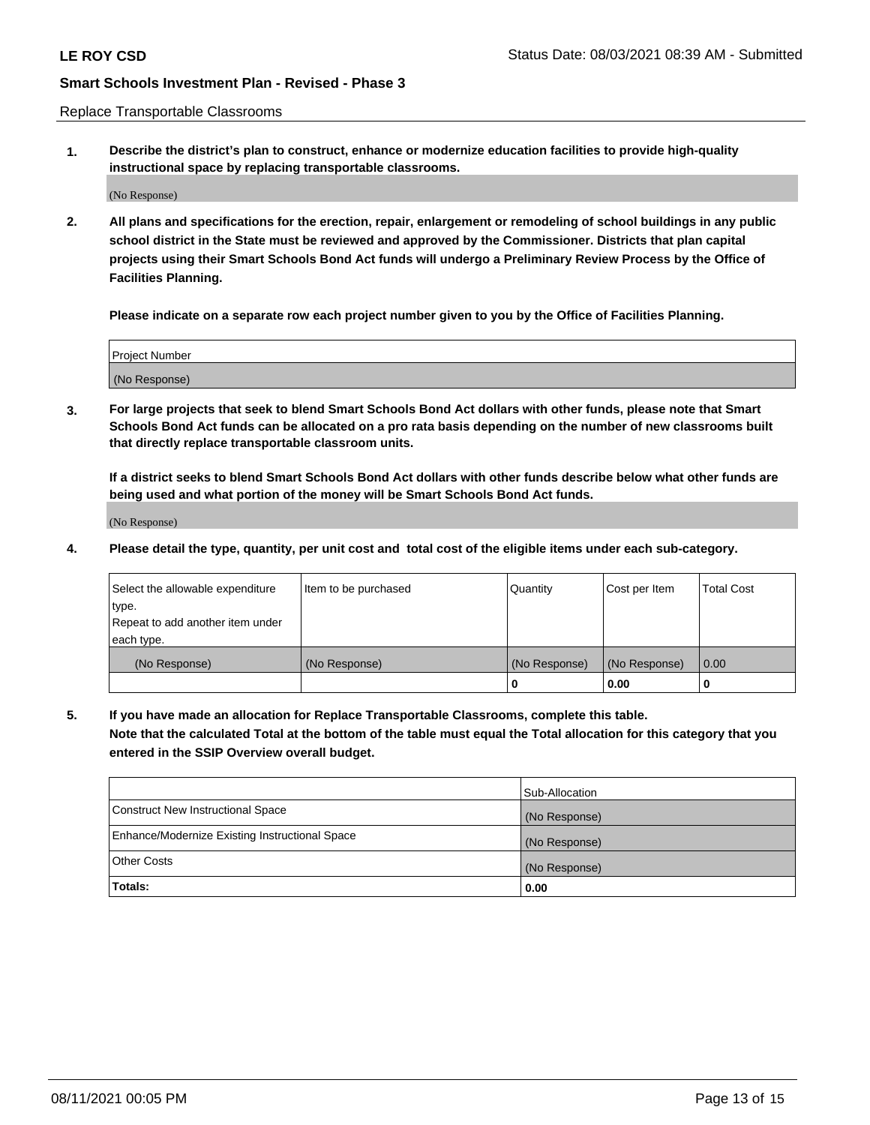Replace Transportable Classrooms

**1. Describe the district's plan to construct, enhance or modernize education facilities to provide high-quality instructional space by replacing transportable classrooms.**

(No Response)

**2. All plans and specifications for the erection, repair, enlargement or remodeling of school buildings in any public school district in the State must be reviewed and approved by the Commissioner. Districts that plan capital projects using their Smart Schools Bond Act funds will undergo a Preliminary Review Process by the Office of Facilities Planning.**

**Please indicate on a separate row each project number given to you by the Office of Facilities Planning.**

| Project Number |  |
|----------------|--|
|                |  |
|                |  |
|                |  |
|                |  |
| (No Response)  |  |
|                |  |
|                |  |
|                |  |

**3. For large projects that seek to blend Smart Schools Bond Act dollars with other funds, please note that Smart Schools Bond Act funds can be allocated on a pro rata basis depending on the number of new classrooms built that directly replace transportable classroom units.**

**If a district seeks to blend Smart Schools Bond Act dollars with other funds describe below what other funds are being used and what portion of the money will be Smart Schools Bond Act funds.**

(No Response)

**4. Please detail the type, quantity, per unit cost and total cost of the eligible items under each sub-category.**

| Select the allowable expenditure | Item to be purchased | Quantity      | Cost per Item | Total Cost |
|----------------------------------|----------------------|---------------|---------------|------------|
| ∣type.                           |                      |               |               |            |
| Repeat to add another item under |                      |               |               |            |
| each type.                       |                      |               |               |            |
| (No Response)                    | (No Response)        | (No Response) | (No Response) | 0.00       |
|                                  |                      | u             | 0.00          |            |

**5. If you have made an allocation for Replace Transportable Classrooms, complete this table. Note that the calculated Total at the bottom of the table must equal the Total allocation for this category that you entered in the SSIP Overview overall budget.**

|                                                | Sub-Allocation |
|------------------------------------------------|----------------|
| Construct New Instructional Space              | (No Response)  |
| Enhance/Modernize Existing Instructional Space | (No Response)  |
| <b>Other Costs</b>                             | (No Response)  |
| Totals:                                        | 0.00           |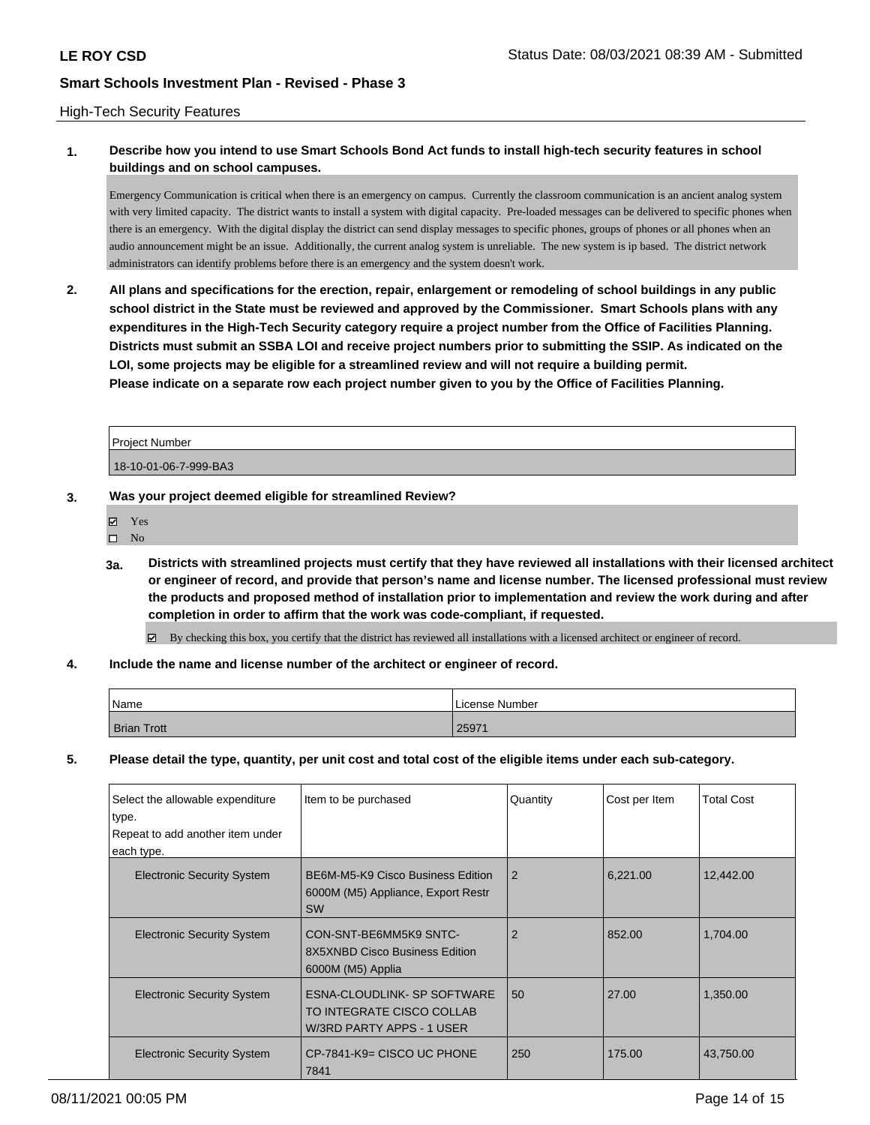#### High-Tech Security Features

## **1. Describe how you intend to use Smart Schools Bond Act funds to install high-tech security features in school buildings and on school campuses.**

Emergency Communication is critical when there is an emergency on campus. Currently the classroom communication is an ancient analog system with very limited capacity. The district wants to install a system with digital capacity. Pre-loaded messages can be delivered to specific phones when there is an emergency. With the digital display the district can send display messages to specific phones, groups of phones or all phones when an audio announcement might be an issue. Additionally, the current analog system is unreliable. The new system is ip based. The district network administrators can identify problems before there is an emergency and the system doesn't work.

**2. All plans and specifications for the erection, repair, enlargement or remodeling of school buildings in any public school district in the State must be reviewed and approved by the Commissioner. Smart Schools plans with any expenditures in the High-Tech Security category require a project number from the Office of Facilities Planning. Districts must submit an SSBA LOI and receive project numbers prior to submitting the SSIP. As indicated on the LOI, some projects may be eligible for a streamlined review and will not require a building permit. Please indicate on a separate row each project number given to you by the Office of Facilities Planning.**

Project Number 18-10-01-06-7-999-BA3

#### **3. Was your project deemed eligible for streamlined Review?**

- Yes
- $\square$  No
- **3a. Districts with streamlined projects must certify that they have reviewed all installations with their licensed architect or engineer of record, and provide that person's name and license number. The licensed professional must review the products and proposed method of installation prior to implementation and review the work during and after completion in order to affirm that the work was code-compliant, if requested.**
	- By checking this box, you certify that the district has reviewed all installations with a licensed architect or engineer of record.
- **4. Include the name and license number of the architect or engineer of record.**

| Name               | License Number |
|--------------------|----------------|
| <b>Brian Trott</b> | 25971          |

**5. Please detail the type, quantity, per unit cost and total cost of the eligible items under each sub-category.**

| Select the allowable expenditure  | Item to be purchased                                                                  | Quantity       | Cost per Item | <b>Total Cost</b> |
|-----------------------------------|---------------------------------------------------------------------------------------|----------------|---------------|-------------------|
| type.                             |                                                                                       |                |               |                   |
| Repeat to add another item under  |                                                                                       |                |               |                   |
| each type.                        |                                                                                       |                |               |                   |
| <b>Electronic Security System</b> | BE6M-M5-K9 Cisco Business Edition<br>6000M (M5) Appliance, Export Restr<br><b>SW</b>  | $\overline{2}$ | 6,221.00      | 12,442.00         |
| <b>Electronic Security System</b> | CON-SNT-BE6MM5K9 SNTC-<br>8X5XNBD Cisco Business Edition<br>6000M (M5) Applia         | $\overline{2}$ | 852.00        | 1,704.00          |
| <b>Electronic Security System</b> | ESNA-CLOUDLINK- SP SOFTWARE<br>TO INTEGRATE CISCO COLLAB<br>W/3RD PARTY APPS - 1 USER | 50             | 27.00         | 1,350.00          |
| <b>Electronic Security System</b> | CP-7841-K9= CISCO UC PHONE<br>7841                                                    | 250            | 175.00        | 43,750.00         |